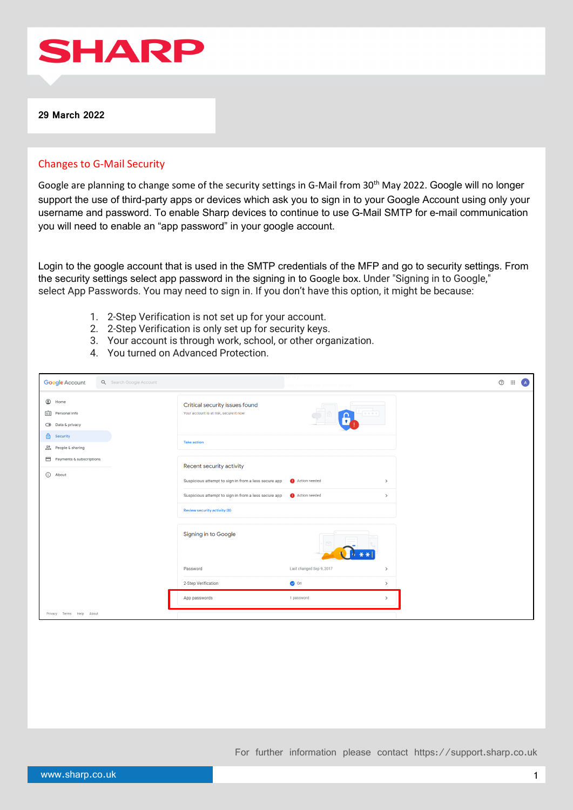

# Changes to G-Mail Security

Google are planning to change some of the security settings in G-Mail from 30<sup>th</sup> May 2022. Google will no longer support the use of third-party apps or devices which ask you to sign in to your Google Account using only your username and password. To enable Sharp devices to continue to use G-Mail SMTP for e-mail communication you will need to enable an "app password" in your google account.

Login to the google account that is used in the SMTP credentials of the MFP and go to security settings. From the security settings select app password in the signing in to Google box. Under "Signing in to Google," select App Passwords. You may need to sign in. If you don't have this option, it might be because:

- 1. 2-Step Verification is not set up for your account.
- 2. 2-Step Verification is only set up for security keys.
- 3. Your account is through work, school, or other organization.
- 4. You turned on Advanced Protection.

| <b>Google Account</b>                                          | Q Search Google Account |                                                                          | elp vou keep vour account secure |               | $^{\circ}$ | $\dddot{m}$ | $\overline{A}$ |
|----------------------------------------------------------------|-------------------------|--------------------------------------------------------------------------|----------------------------------|---------------|------------|-------------|----------------|
| $\circledcirc$<br>Home<br>画<br>Personal info<br>Data & privacy |                         | Critical security issues found<br>Your account is at risk, secure it now |                                  |               |            |             |                |
| €<br>Security<br>$\sum_{k=1}^{10}$ People & sharing            |                         | <b>Take action</b>                                                       |                                  |               |            |             |                |
| Payments & subscriptions                                       |                         | Recent security activity                                                 |                                  |               |            |             |                |
| (i) About                                                      |                         | Suspicious attempt to sign in from a less secure app                     | Action needed                    | $\,$          |            |             |                |
|                                                                |                         | Suspicious attempt to sign in from a less secure app                     | Action needed                    | $\,$          |            |             |                |
|                                                                |                         | Review security activity (8)                                             |                                  |               |            |             |                |
|                                                                |                         | Signing in to Google                                                     |                                  |               |            |             |                |
|                                                                |                         | Password                                                                 | Last changed Sep 9, 2017         | $\rightarrow$ |            |             |                |
|                                                                |                         | 2-Step Verification                                                      | on C                             | $\,$          |            |             |                |
|                                                                |                         | App passwords                                                            | 1 password                       | $\rightarrow$ |            |             |                |
| Privacy Terms Help About                                       |                         |                                                                          |                                  |               |            |             |                |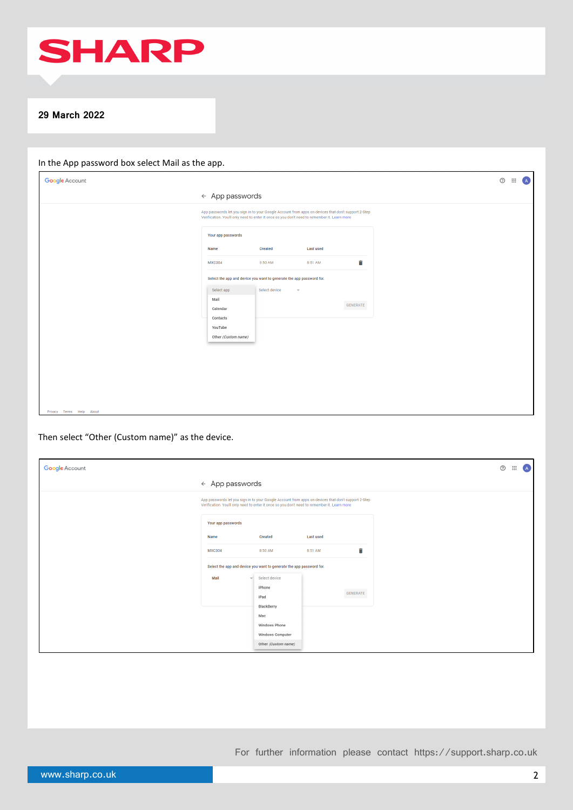

| <b>Google Account</b>    |                                                                                                                                                                                                     | $\circledcirc$ $\vdots$ $\circledcirc$ |
|--------------------------|-----------------------------------------------------------------------------------------------------------------------------------------------------------------------------------------------------|----------------------------------------|
|                          | $\leftarrow$ App passwords                                                                                                                                                                          |                                        |
|                          | App passwords let you sign in to your Google Account from apps on devices that don't support 2-Step<br>Verification. You'll only need to enter it once so you don't need to remember it. Learn more |                                        |
|                          | Your app passwords                                                                                                                                                                                  |                                        |
|                          | <b>Last used</b><br>Created<br>Name                                                                                                                                                                 |                                        |
|                          | î<br><b>MXC304</b><br>8:50 AM<br>8:51 AM                                                                                                                                                            |                                        |
|                          | Select the app and device you want to generate the app password for.                                                                                                                                |                                        |
|                          | Select app<br>Select device<br>$\overline{\phantom{a}}$                                                                                                                                             |                                        |
|                          | Mail<br>GENERATE<br>Calendar                                                                                                                                                                        |                                        |
|                          | Contacts                                                                                                                                                                                            |                                        |
|                          | YouTube<br>Other (Custom name)                                                                                                                                                                      |                                        |
|                          |                                                                                                                                                                                                     |                                        |
|                          |                                                                                                                                                                                                     |                                        |
|                          |                                                                                                                                                                                                     |                                        |
|                          |                                                                                                                                                                                                     |                                        |
|                          |                                                                                                                                                                                                     |                                        |
| Privacy Terms Help About |                                                                                                                                                                                                     |                                        |

# Then select "Other (Custom name)" as the device.

| <b>Google Account</b> |                                                                                                                                                                                                     |                                                                      |                  |          | $^{\circ}$ | $\mathop{\mathbb{H}}\nolimits$ |
|-----------------------|-----------------------------------------------------------------------------------------------------------------------------------------------------------------------------------------------------|----------------------------------------------------------------------|------------------|----------|------------|--------------------------------|
|                       | $\leftarrow$ App passwords                                                                                                                                                                          |                                                                      |                  |          |            |                                |
|                       | App passwords let you sign in to your Google Account from apps on devices that don't support 2-Step<br>Verification. You'll only need to enter it once so you don't need to remember it. Learn more |                                                                      |                  |          |            |                                |
|                       | Your app passwords                                                                                                                                                                                  |                                                                      |                  |          |            |                                |
|                       | Name                                                                                                                                                                                                | Created                                                              | <b>Last used</b> |          |            |                                |
|                       | <b>MXC304</b>                                                                                                                                                                                       | 8:50 AM                                                              | 8:51 AM          | î        |            |                                |
|                       |                                                                                                                                                                                                     | Select the app and device you want to generate the app password for. |                  |          |            |                                |
|                       | Mail<br>$\forall$                                                                                                                                                                                   | Select device                                                        |                  |          |            |                                |
|                       |                                                                                                                                                                                                     | iPhone<br>iPad                                                       |                  | GENERATE |            |                                |
|                       |                                                                                                                                                                                                     | BlackBerry                                                           |                  |          |            |                                |
|                       |                                                                                                                                                                                                     | Mac<br>Windows Phone                                                 |                  |          |            |                                |
|                       |                                                                                                                                                                                                     | Windows Computer                                                     |                  |          |            |                                |
|                       |                                                                                                                                                                                                     | Other (Custom name)                                                  |                  |          |            |                                |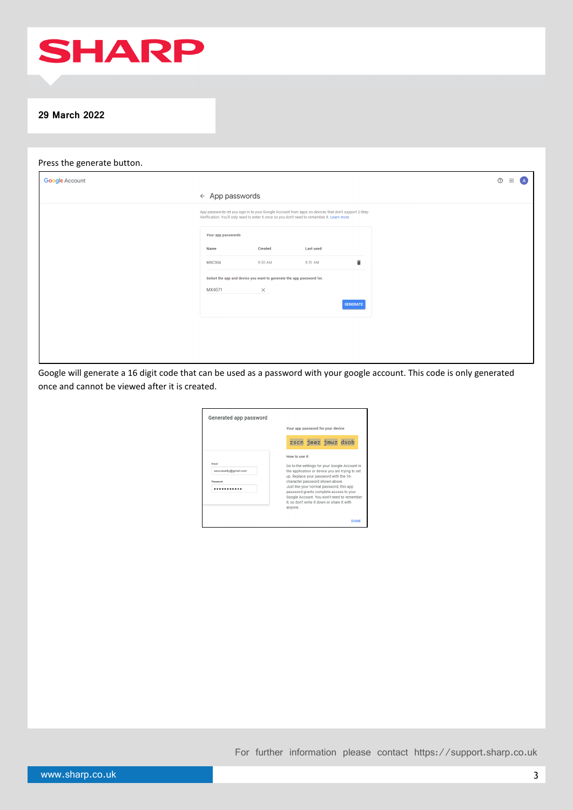

## Press the generate button.

| <b>Google Account</b> |                                                                                                                                                                                                     |          |                  |                 | $^\odot$<br>$\mathbf{H}$<br>$\overline{A}$ |
|-----------------------|-----------------------------------------------------------------------------------------------------------------------------------------------------------------------------------------------------|----------|------------------|-----------------|--------------------------------------------|
|                       | $\leftarrow$ App passwords                                                                                                                                                                          |          |                  |                 |                                            |
|                       | App passwords let you sign in to your Google Account from apps on devices that don't support 2-Step<br>Verification. You'll only need to enter it once so you don't need to remember it. Learn more |          |                  |                 |                                            |
|                       | Your app passwords                                                                                                                                                                                  |          |                  |                 |                                            |
|                       | Name                                                                                                                                                                                                | Created  | <b>Last used</b> |                 |                                            |
|                       | <b>MXC304</b>                                                                                                                                                                                       | 8:50 AM  | 8:51 AM          | î               |                                            |
|                       | Select the app and device you want to generate the app password for.                                                                                                                                |          |                  |                 |                                            |
|                       | MX4071                                                                                                                                                                                              | $\times$ |                  |                 |                                            |
|                       |                                                                                                                                                                                                     |          |                  | <b>GENERATE</b> |                                            |
|                       |                                                                                                                                                                                                     |          |                  |                 |                                            |
|                       |                                                                                                                                                                                                     |          |                  |                 |                                            |
|                       |                                                                                                                                                                                                     |          |                  |                 |                                            |

Google will generate a 16 digit code that can be used as a password with your google account. This code is only generated once and cannot be viewed after it is created.

| Generated app password                     |                                                                                                                                                                                                                                                                                                                                                                                               |  |  |  |  |
|--------------------------------------------|-----------------------------------------------------------------------------------------------------------------------------------------------------------------------------------------------------------------------------------------------------------------------------------------------------------------------------------------------------------------------------------------------|--|--|--|--|
|                                            | Your app password for your device                                                                                                                                                                                                                                                                                                                                                             |  |  |  |  |
|                                            | zscn jeez jmwz dxob                                                                                                                                                                                                                                                                                                                                                                           |  |  |  |  |
| Email<br>securesally@gmail.com<br>Password | How to use it<br>Go to the settings for your Google Account in<br>the application or device you are trying to set<br>up. Replace your password with the 16-<br>character password shown above.<br>Just like your normal password, this app<br>password grants complete access to your<br>Google Account. You won't need to remember<br>it, so don't write it down or share it with<br>anvone. |  |  |  |  |
|                                            | <b>DONE</b>                                                                                                                                                                                                                                                                                                                                                                                   |  |  |  |  |